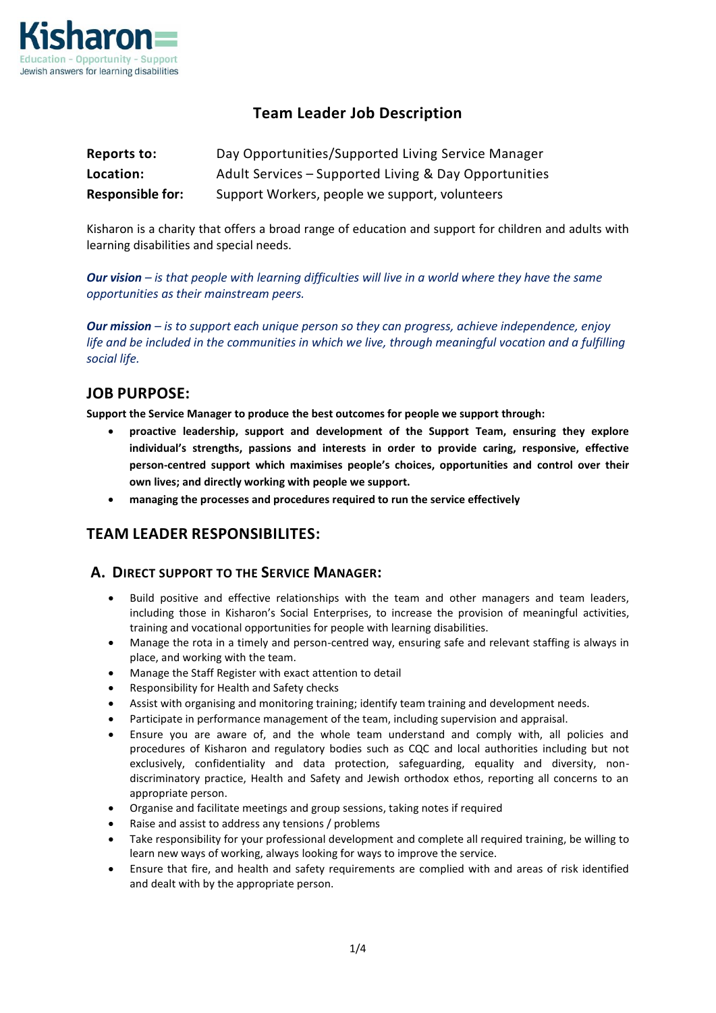

# **Team Leader Job Description**

| Reports to:             | Day Opportunities/Supported Living Service Manager    |
|-------------------------|-------------------------------------------------------|
| Location:               | Adult Services - Supported Living & Day Opportunities |
| <b>Responsible for:</b> | Support Workers, people we support, volunteers        |

Kisharon is a charity that offers a broad range of education and support for children and adults with learning disabilities and special needs.

*Our vision – is that people with learning difficulties will live in a world where they have the same opportunities as their mainstream peers.* 

*Our mission – is to support each unique person so they can progress, achieve independence, enjoy life and be included in the communities in which we live, through meaningful vocation and a fulfilling social life.* 

# **JOB PURPOSE:**

**Support the Service Manager to produce the best outcomes for people we support through:**

- **proactive leadership, support and development of the Support Team, ensuring they explore individual's strengths, passions and interests in order to provide caring, responsive, effective person-centred support which maximises people's choices, opportunities and control over their own lives; and directly working with people we support.**
- **managing the processes and procedures required to run the service effectively**

# **TEAM LEADER RESPONSIBILITES:**

## **A. DIRECT SUPPORT TO THE SERVICE MANAGER:**

- Build positive and effective relationships with the team and other managers and team leaders, including those in Kisharon's Social Enterprises, to increase the provision of meaningful activities, training and vocational opportunities for people with learning disabilities.
- Manage the rota in a timely and person-centred way, ensuring safe and relevant staffing is always in place, and working with the team.
- Manage the Staff Register with exact attention to detail
- Responsibility for Health and Safety checks
- Assist with organising and monitoring training; identify team training and development needs.
- Participate in performance management of the team, including supervision and appraisal.
- Ensure you are aware of, and the whole team understand and comply with, all policies and procedures of Kisharon and regulatory bodies such as CQC and local authorities including but not exclusively, confidentiality and data protection, safeguarding, equality and diversity, nondiscriminatory practice, Health and Safety and Jewish orthodox ethos, reporting all concerns to an appropriate person.
- Organise and facilitate meetings and group sessions, taking notes if required
- Raise and assist to address any tensions / problems
- Take responsibility for your professional development and complete all required training, be willing to learn new ways of working, always looking for ways to improve the service.
- Ensure that fire, and health and safety requirements are complied with and areas of risk identified and dealt with by the appropriate person.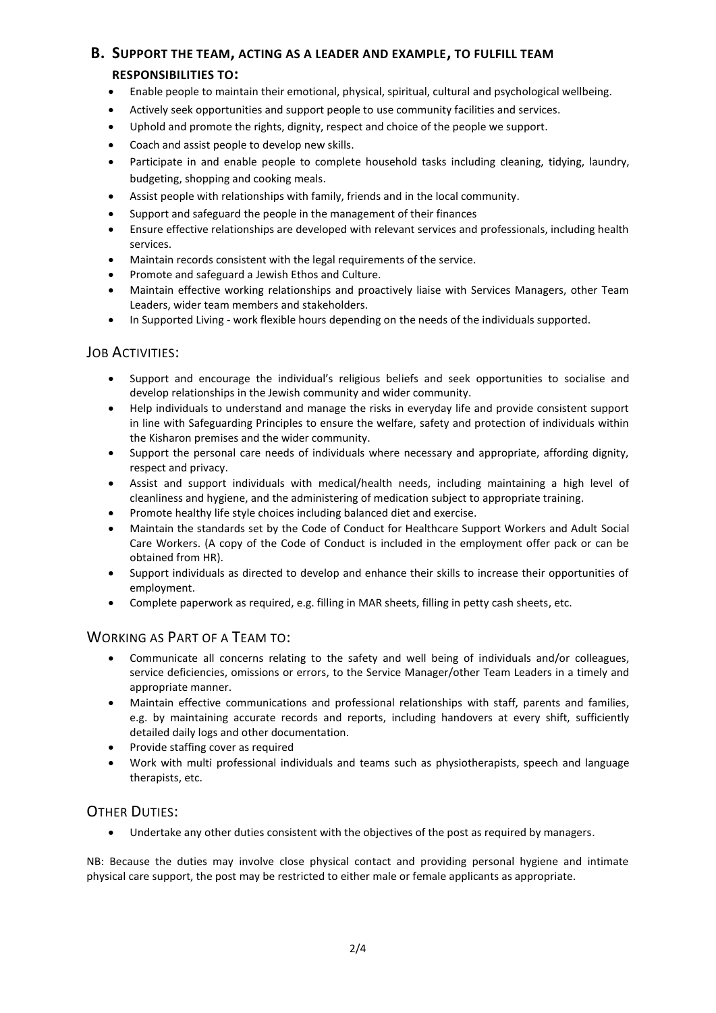## **B. SUPPORT THE TEAM, ACTING AS A LEADER AND EXAMPLE, TO FULFILL TEAM**

#### **RESPONSIBILITIES TO:**

- Enable people to maintain their emotional, physical, spiritual, cultural and psychological wellbeing.
- Actively seek opportunities and support people to use community facilities and services.
- Uphold and promote the rights, dignity, respect and choice of the people we support.
- Coach and assist people to develop new skills.
- Participate in and enable people to complete household tasks including cleaning, tidying, laundry, budgeting, shopping and cooking meals.
- Assist people with relationships with family, friends and in the local community.
- Support and safeguard the people in the management of their finances
- Ensure effective relationships are developed with relevant services and professionals, including health services.
- Maintain records consistent with the legal requirements of the service.
- Promote and safeguard a Jewish Ethos and Culture.
- Maintain effective working relationships and proactively liaise with Services Managers, other Team Leaders, wider team members and stakeholders.
- In Supported Living work flexible hours depending on the needs of the individuals supported.

#### JOB ACTIVITIES:

- Support and encourage the individual's religious beliefs and seek opportunities to socialise and develop relationships in the Jewish community and wider community.
- Help individuals to understand and manage the risks in everyday life and provide consistent support in line with Safeguarding Principles to ensure the welfare, safety and protection of individuals within the Kisharon premises and the wider community.
- Support the personal care needs of individuals where necessary and appropriate, affording dignity, respect and privacy.
- Assist and support individuals with medical/health needs, including maintaining a high level of cleanliness and hygiene, and the administering of medication subject to appropriate training.
- Promote healthy life style choices including balanced diet and exercise.
- Maintain the standards set by the Code of Conduct for Healthcare Support Workers and Adult Social Care Workers. (A copy of the Code of Conduct is included in the employment offer pack or can be obtained from HR).
- Support individuals as directed to develop and enhance their skills to increase their opportunities of employment.
- Complete paperwork as required, e.g. filling in MAR sheets, filling in petty cash sheets, etc.

## WORKING AS PART OF A TEAM TO:

- Communicate all concerns relating to the safety and well being of individuals and/or colleagues, service deficiencies, omissions or errors, to the Service Manager/other Team Leaders in a timely and appropriate manner.
- Maintain effective communications and professional relationships with staff, parents and families, e.g. by maintaining accurate records and reports, including handovers at every shift, sufficiently detailed daily logs and other documentation.
- Provide staffing cover as required
- Work with multi professional individuals and teams such as physiotherapists, speech and language therapists, etc.

## OTHER DUTIES:

• Undertake any other duties consistent with the objectives of the post as required by managers.

NB: Because the duties may involve close physical contact and providing personal hygiene and intimate physical care support, the post may be restricted to either male or female applicants as appropriate.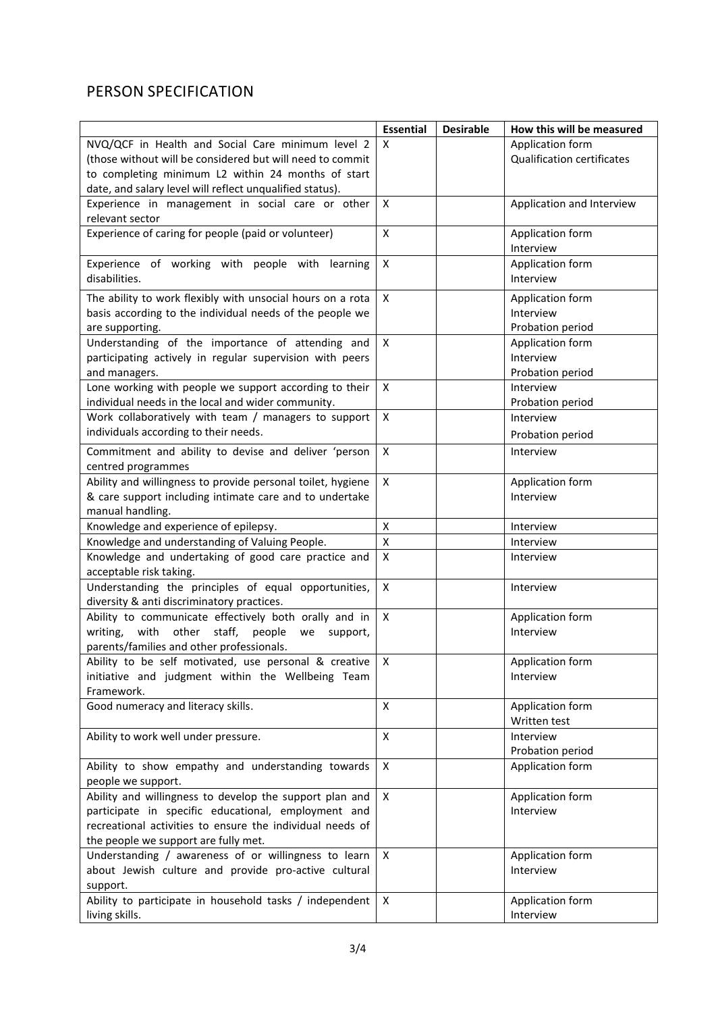# PERSON SPECIFICATION

|                                                                                                                  | <b>Essential</b>          | <b>Desirable</b> | How this will be measured         |
|------------------------------------------------------------------------------------------------------------------|---------------------------|------------------|-----------------------------------|
| NVQ/QCF in Health and Social Care minimum level 2                                                                | X                         |                  | Application form                  |
| (those without will be considered but will need to commit                                                        |                           |                  | <b>Qualification certificates</b> |
| to completing minimum L2 within 24 months of start                                                               |                           |                  |                                   |
| date, and salary level will reflect unqualified status).                                                         |                           |                  |                                   |
| Experience in management in social care or other                                                                 | X                         |                  | Application and Interview         |
| relevant sector                                                                                                  |                           |                  |                                   |
| Experience of caring for people (paid or volunteer)                                                              | $\mathsf{x}$              |                  | Application form                  |
|                                                                                                                  |                           |                  | Interview                         |
| Experience of working with people with learning                                                                  | X                         |                  | Application form                  |
| disabilities.                                                                                                    |                           |                  | Interview                         |
| The ability to work flexibly with unsocial hours on a rota                                                       | $\mathsf{x}$              |                  | Application form                  |
| basis according to the individual needs of the people we                                                         |                           |                  | Interview                         |
| are supporting.                                                                                                  |                           |                  | Probation period                  |
| Understanding of the importance of attending and                                                                 | X                         |                  | Application form                  |
| participating actively in regular supervision with peers                                                         |                           |                  | Interview                         |
| and managers.                                                                                                    |                           |                  | Probation period                  |
| Lone working with people we support according to their                                                           | X                         |                  | Interview                         |
| individual needs in the local and wider community.                                                               |                           |                  | Probation period                  |
| Work collaboratively with team / managers to support                                                             | X                         |                  | Interview                         |
| individuals according to their needs.                                                                            |                           |                  | Probation period                  |
|                                                                                                                  |                           |                  |                                   |
| Commitment and ability to devise and deliver 'person                                                             | $\mathsf{x}$              |                  | Interview                         |
| centred programmes                                                                                               |                           |                  |                                   |
| Ability and willingness to provide personal toilet, hygiene                                                      | X                         |                  | Application form                  |
| & care support including intimate care and to undertake                                                          |                           |                  | Interview                         |
| manual handling.                                                                                                 |                           |                  |                                   |
| Knowledge and experience of epilepsy.                                                                            | $\pmb{\mathsf{X}}$        |                  | Interview                         |
| Knowledge and understanding of Valuing People.                                                                   | $\pmb{\mathsf{X}}$        |                  | Interview                         |
| Knowledge and undertaking of good care practice and                                                              | X                         |                  | Interview                         |
| acceptable risk taking.                                                                                          |                           |                  |                                   |
| Understanding the principles of equal opportunities,                                                             | X                         |                  | Interview                         |
| diversity & anti discriminatory practices.                                                                       |                           |                  |                                   |
| Ability to communicate effectively both orally and in                                                            | X                         |                  | Application form                  |
| writing, with<br>other staff,<br>people<br>we<br>support,                                                        |                           |                  | Interview                         |
| parents/families and other professionals.                                                                        |                           |                  |                                   |
| Ability to be self motivated, use personal & creative                                                            | $\boldsymbol{\mathsf{X}}$ |                  | Application form                  |
| initiative and judgment within the Wellbeing Team                                                                |                           |                  | Interview                         |
| Framework.                                                                                                       |                           |                  |                                   |
| Good numeracy and literacy skills.                                                                               | X                         |                  | Application form                  |
|                                                                                                                  |                           |                  | Written test                      |
| Ability to work well under pressure.                                                                             | X                         |                  | Interview                         |
|                                                                                                                  |                           |                  | Probation period                  |
| Ability to show empathy and understanding towards                                                                | X                         |                  | Application form                  |
| people we support.                                                                                               | $\mathsf{x}$              |                  |                                   |
| Ability and willingness to develop the support plan and                                                          |                           |                  | Application form                  |
| participate in specific educational, employment and<br>recreational activities to ensure the individual needs of |                           |                  | Interview                         |
|                                                                                                                  |                           |                  |                                   |
| the people we support are fully met.                                                                             | X                         |                  |                                   |
| Understanding / awareness of or willingness to learn                                                             |                           |                  | Application form<br>Interview     |
| about Jewish culture and provide pro-active cultural                                                             |                           |                  |                                   |
| support.<br>Ability to participate in household tasks / independent                                              | $\mathsf{x}$              |                  |                                   |
| living skills.                                                                                                   |                           |                  | Application form<br>Interview     |
|                                                                                                                  |                           |                  |                                   |